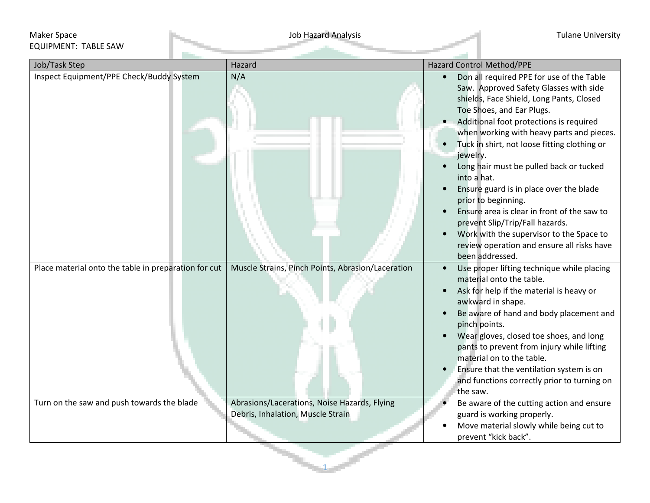## Maker Space Job Hazard Analysis Tulane University EQUIPMENT: TABLE SAW

| Job/Task Step                                        | Hazard                                                                            | <b>Hazard Control Method/PPE</b>                                                                                                                                                                                                                                                                                                                                                                                                                                                                                                                                                                                                                                                                |  |  |  |
|------------------------------------------------------|-----------------------------------------------------------------------------------|-------------------------------------------------------------------------------------------------------------------------------------------------------------------------------------------------------------------------------------------------------------------------------------------------------------------------------------------------------------------------------------------------------------------------------------------------------------------------------------------------------------------------------------------------------------------------------------------------------------------------------------------------------------------------------------------------|--|--|--|
| Inspect Equipment/PPE Check/Buddy System             | N/A                                                                               | Don all required PPE for use of the Table<br>$\bullet$<br>Saw. Approved Safety Glasses with side<br>shields, Face Shield, Long Pants, Closed<br>Toe Shoes, and Ear Plugs.<br>Additional foot protections is required<br>when working with heavy parts and pieces.<br>Tuck in shirt, not loose fitting clothing or<br>$\bullet$<br>jewelry.<br>Long hair must be pulled back or tucked<br>into a hat.<br>Ensure guard is in place over the blade<br>$\bullet$<br>prior to beginning.<br>Ensure area is clear in front of the saw to<br>prevent Slip/Trip/Fall hazards.<br>Work with the supervisor to the Space to<br>$\bullet$<br>review operation and ensure all risks have<br>been addressed. |  |  |  |
| Place material onto the table in preparation for cut | Muscle Strains, Pinch Points, Abrasion/Laceration                                 | Use proper lifting technique while placing<br>$\bullet$<br>material onto the table.<br>Ask for help if the material is heavy or<br>$\bullet$<br>awkward in shape.<br>Be aware of hand and body placement and<br>$\bullet$<br>pinch points.<br>Wear gloves, closed toe shoes, and long<br>$\bullet$<br>pants to prevent from injury while lifting<br>material on to the table.<br>Ensure that the ventilation system is on<br>and functions correctly prior to turning on<br>the saw.                                                                                                                                                                                                            |  |  |  |
| Turn on the saw and push towards the blade           | Abrasions/Lacerations, Noise Hazards, Flying<br>Debris, Inhalation, Muscle Strain | Be aware of the cutting action and ensure<br>guard is working properly.<br>Move material slowly while being cut to<br>prevent "kick back".                                                                                                                                                                                                                                                                                                                                                                                                                                                                                                                                                      |  |  |  |

1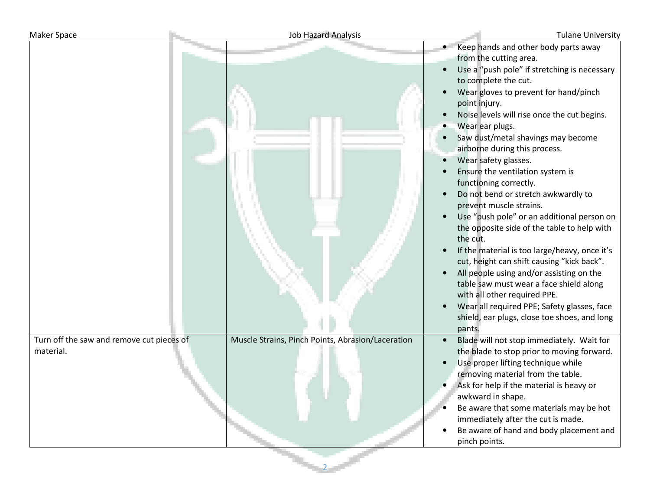| Maker Space                                            | <b>Job Hazard Analysis</b>                        | <b>Tulane University</b>                                                                                                                                                                                                                                                                                                                                                                                                                                                                                                                                                                                                                                                                                                                                                                                                                                                                                                                  |
|--------------------------------------------------------|---------------------------------------------------|-------------------------------------------------------------------------------------------------------------------------------------------------------------------------------------------------------------------------------------------------------------------------------------------------------------------------------------------------------------------------------------------------------------------------------------------------------------------------------------------------------------------------------------------------------------------------------------------------------------------------------------------------------------------------------------------------------------------------------------------------------------------------------------------------------------------------------------------------------------------------------------------------------------------------------------------|
|                                                        |                                                   | Keep hands and other body parts away<br>from the cutting area.<br>Use a "push pole" if stretching is necessary<br>to complete the cut.<br>Wear gloves to prevent for hand/pinch<br>point injury.<br>Noise levels will rise once the cut begins.<br>Wear ear plugs.<br>Saw dust/metal shavings may become<br>airborne during this process.<br>Wear safety glasses.<br>Ensure the ventilation system is<br>functioning correctly.<br>Do not bend or stretch awkwardly to<br>prevent muscle strains.<br>Use "push pole" or an additional person on<br>the opposite side of the table to help with<br>the cut.<br>If the material is too large/heavy, once it's<br>cut, height can shift causing "kick back".<br>All people using and/or assisting on the<br>table saw must wear a face shield along<br>with all other required PPE.<br>Wear all required PPE; Safety glasses, face<br>shield, ear plugs, close toe shoes, and long<br>pants. |
| Turn off the saw and remove cut pieces of<br>material. | Muscle Strains, Pinch Points, Abrasion/Laceration | Blade will not stop immediately. Wait for<br>the blade to stop prior to moving forward.<br>Use proper lifting technique while<br>removing material from the table.<br>Ask for help if the material is heavy or<br>awkward in shape.<br>Be aware that some materials may be hot<br>immediately after the cut is made.<br>Be aware of hand and body placement and<br>pinch points.                                                                                                                                                                                                                                                                                                                                                                                                                                                                                                                                                          |

2